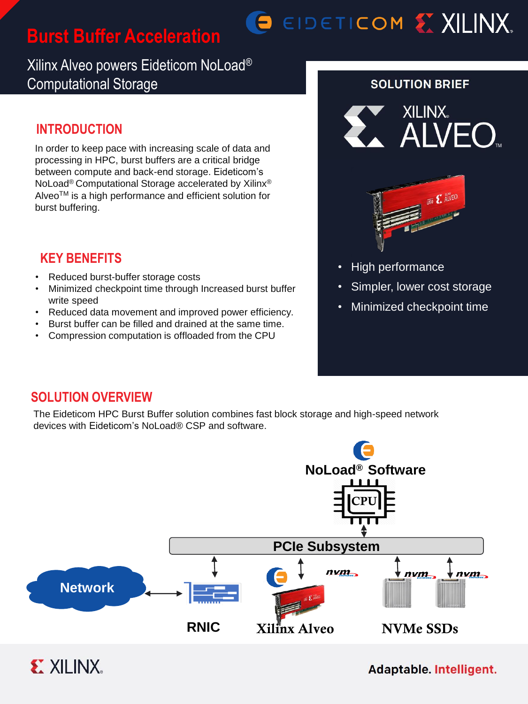# **Burst Buffer Acceleration**

# O EIDETICOM EX XILINX.

# Xilinx Alveo powers Eideticom NoLoad® Computational Storage

# **INTRODUCTION**

In order to keep pace with increasing scale of data and processing in HPC, burst buffers are a critical bridge between compute and back-end storage. Eideticom's NoLoad® Computational Storage accelerated by Xilinx® Alveo™ is a high performance and efficient solution for burst buffering.

## **KEY BENEFITS**

- Reduced burst-buffer storage costs
- Minimized checkpoint time through Increased burst buffer write speed
- Reduced data movement and improved power efficiency.
- Burst buffer can be filled and drained at the same time.
- Compression computation is offloaded from the CPU

#### **SOLUTION BRIEF**





- High performance
- Simpler, lower cost storage
- Minimized checkpoint time

## **SOLUTION OVERVIEW**

The Eideticom HPC Burst Buffer solution combines fast block storage and high-speed network devices with Eideticom's NoLoad® CSP and software.



#### Adaptable. Intelligent.